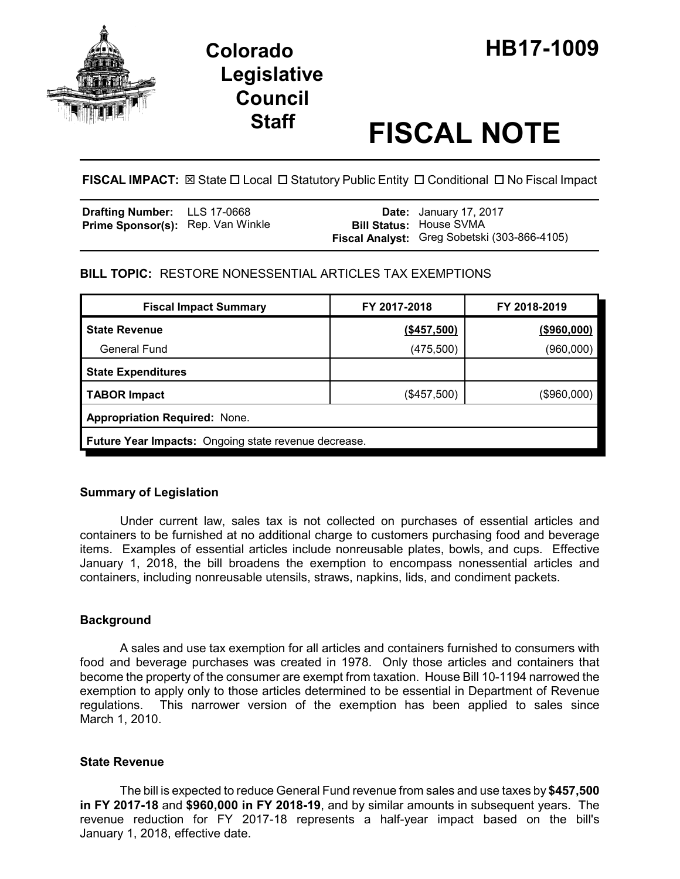

# **Legislative Council**

# **Staff FISCAL NOTE**

FISCAL IMPACT:  $\boxtimes$  State  $\Box$  Local  $\Box$  Statutory Public Entity  $\Box$  Conditional  $\Box$  No Fiscal Impact

| Drafting Number: LLS 17-0668             |  | <b>Date:</b> January 17, 2017                |
|------------------------------------------|--|----------------------------------------------|
| <b>Prime Sponsor(s):</b> Rep. Van Winkle |  | <b>Bill Status: House SVMA</b>               |
|                                          |  | Fiscal Analyst: Greg Sobetski (303-866-4105) |

# **BILL TOPIC:** RESTORE NONESSENTIAL ARTICLES TAX EXEMPTIONS

| <b>Fiscal Impact Summary</b>                                | FY 2017-2018  | FY 2018-2019 |  |  |  |
|-------------------------------------------------------------|---------------|--------------|--|--|--|
| <b>State Revenue</b>                                        | (\$457,500)   | (\$960,000)  |  |  |  |
| <b>General Fund</b>                                         | (475, 500)    | (960,000)    |  |  |  |
| <b>State Expenditures</b>                                   |               |              |  |  |  |
| <b>TABOR Impact</b>                                         | $(\$457,500)$ | (\$960,000)  |  |  |  |
| <b>Appropriation Required: None.</b>                        |               |              |  |  |  |
| <b>Future Year Impacts:</b> Ongoing state revenue decrease. |               |              |  |  |  |

# **Summary of Legislation**

Under current law, sales tax is not collected on purchases of essential articles and containers to be furnished at no additional charge to customers purchasing food and beverage items. Examples of essential articles include nonreusable plates, bowls, and cups. Effective January 1, 2018, the bill broadens the exemption to encompass nonessential articles and containers, including nonreusable utensils, straws, napkins, lids, and condiment packets.

# **Background**

A sales and use tax exemption for all articles and containers furnished to consumers with food and beverage purchases was created in 1978. Only those articles and containers that become the property of the consumer are exempt from taxation. House Bill 10-1194 narrowed the exemption to apply only to those articles determined to be essential in Department of Revenue regulations. This narrower version of the exemption has been applied to sales since March 1, 2010.

# **State Revenue**

The bill is expected to reduce General Fund revenue from sales and use taxes by **\$457,500 in FY 2017-18** and **\$960,000 in FY 2018-19**, and by similar amounts in subsequent years. The revenue reduction for FY 2017-18 represents a half-year impact based on the bill's January 1, 2018, effective date.